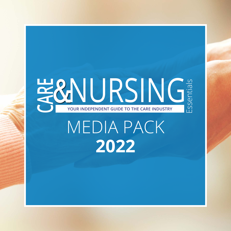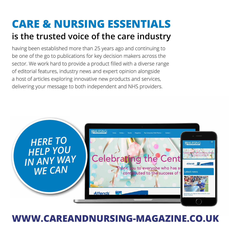### **is the trusted voice of the care industry CARE & NURSING ESSENTIALS**

having been established more than 25 years ago and continuing to be one of the go to publications for key decision makers across the sector. We work hard to provide a product filled with a diverse range of editorial features, industry news and expert opinion alongside a host of articles exploring innovative new products and services, delivering your message to both independent and NHS providers.



### **[WWW.CAREANDNURSING-MAGAZINE.CO.UK](https://www.careandnursing-magazine.co.uk)**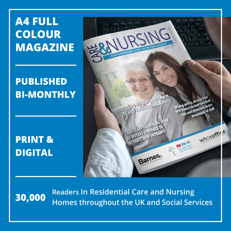## **A4 FULL COLOUR MAGAZINE**

### **PUBLISHED BI-MONTHLY**

**PRINT & DIGITAL**





**Readers In Residential Care and Nursing Homes throughout the UK and Social Services 30,000**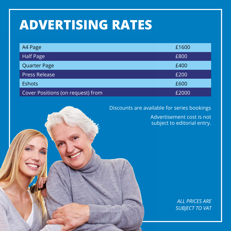## **ADVERTISING RATES**

| A4 Page                           | £1600 |
|-----------------------------------|-------|
| <b>Half Page</b>                  | £800  |
| Quarter Page                      | £400  |
| <b>Press Release</b>              | £200  |
| <b>Eshots</b>                     | £600  |
| Cover Positions (on request) from | £2000 |



Advertisement cost is not subject to editorial entry.

> *ALL PRICES ARE SUBJECT TO VAT*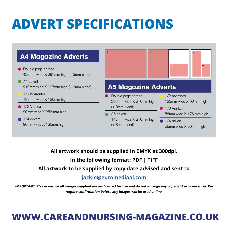## **ADVERT SPECIFICATIONS**



**All artwork should be supplied in CMYK at 300dpi. In the following format: PDF | TIFF All artwork to be supplied by copy date advised and sent to** 

#### **[jackie@euromediaal.com](mailto:jackie%40euromediaal.com?subject=Artwork%20for%20CN%20)**

**IMPORTANT: Please ensure all images supplied are authorized for use and do not infringe any copyright or licence use. We require confirmation before any images will be used online.**

### **[WWW.CAREANDNURSING-MAGAZINE.CO.UK](https://www.careandnursing-magazine.co.uk)**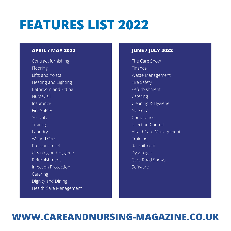## **FEATURES LIST 2022**

#### **APRIL / MAY 2022 JUNE / JULY 2022**

Contract furnishing Flooring Lifts and hoists Heating and Lighting Bathroom and Fitting NurseCall Insurance Fire Safety Security **Training** Laundry Wound Care Pressure relief Cleaning and Hygiene Refurbishment Infection Protection **Catering** Dignity and Dining Health Care Management

The Care Show Finance Waste Management Fire Safety Refurbishment Catering Cleaning & Hygiene NurseCall Compliance Infection Control HealthCare Management **Training** Recruitment Dysphagia Care Road Shows Software

### **[WWW.CAREANDNURSING-MAGAZINE.CO.UK](https://www.careandnursing-magazine.co.uk)**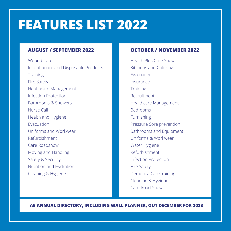## **FEATURES LIST 2022**

#### **AUGUST / SEPTEMBER 2022**

Wound Care Incontinence and Disposable Products **Training** Fire Safety Healthcare Management Infection Protection Bathrooms & Showers Nurse Call Health and Hygiene Evacuation Uniforms and Workwear Refurbishment Care Roadshow Moving and Handling Safety & Security Nutrition and Hydration Cleaning & Hygiene

#### **OCTOBER / NOVEMBER 2022**

Health Plus Care Show Kitchens and Catering Evacuation Insurance **Training** Recruitment Healthcare Management Bedrooms **Furnishing** Pressure Sore prevention Bathrooms and Equipment Uniforms & Workwear Water Hygiene Refurbishment Infection Protection Fire Safety Dementia CareTraining Cleaning & Hygiene Care Road Show

**A5 ANNUAL DIRECTORY, INCLUDING WALL PLANNER, OUT DECEMBER FOR 2023**